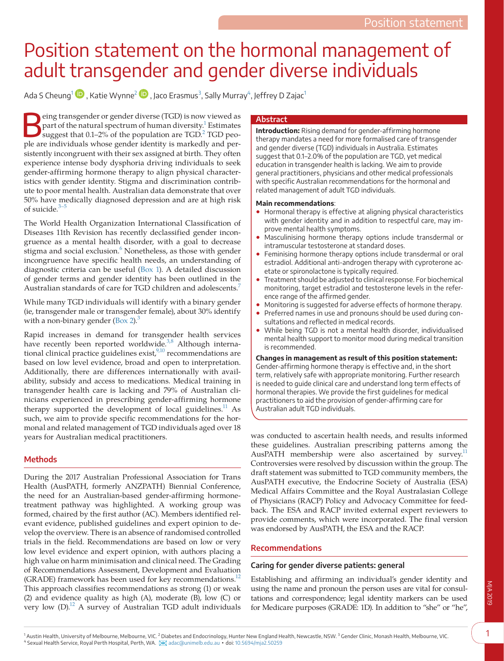# Position statement on the hormonal management of adult transgender and gender diverse individuals

Ada S Cheung $^1\mathbf{\mathbb{D}}$  $^1\mathbf{\mathbb{D}}$  $^1\mathbf{\mathbb{D}}$  [,](https://orcid.org/0000-0001-5257-5525) Katie Wynne $^2\mathbf{\mathbb{D}}$  $^2\mathbf{\mathbb{D}}$  $^2\mathbf{\mathbb{D}}$  , Jaco Erasmus $^3$  $^3$ , Sally Murray $^4$ , Jeffrey D Zajac $^1$ 

Extends transgender or gender diverse (TGD) is now viewed as part of the natural spectrum of human diversity.<sup>1</sup> Estimates suggest that 0.1–[2](#page-5-1)% of the population are TGD.<sup>2</sup> TGD peopart of the natural spectrum of human diversity.<sup>1</sup> Estimates ple are individuals whose gender identity is markedly and persistently incongruent with their sex assigned at birth. They often experience intense body dysphoria driving individuals to seek gender-affirming hormone therapy to align physical characteristics with gender identity. Stigma and discrimination contribute to poor mental health. Australian data demonstrate that over 50% have medically diagnosed depression and are at high risk of suicide.[3–5](#page-5-2)

The World Health Organization International Classification of Diseases 11th Revision has recently declassified gender incongruence as a mental health disorder, with a goal to decrease stigma and social exclusion.<sup>6</sup> Nonetheless, as those with gender incongruence have specific health needs, an understanding of diagnostic criteria can be useful [\(Box 1\)](#page-1-0). A detailed discussion of gender terms and gender identity has been outlined in the Australian standards of care for TGD children and adolescents.<sup>7</sup>

While many TGD individuals will identify with a binary gender (ie, transgender male or transgender female), about 30% identify with a non-binary gender  $(Box 2)$  $(Box 2)$ .

Rapid increases in demand for transgender health services have recently been reported worldwide.<sup>[3,8](#page-5-2)</sup> Although international clinical practice guidelines exist, $9,10$  recommendations are based on low level evidence, broad and open to interpretation. Additionally, there are differences internationally with availability, subsidy and access to medications. Medical training in transgender health care is lacking and 79% of Australian clinicians experienced in prescribing gender-affirming hormone therapy supported the development of local guidelines.<sup>11</sup> As such, we aim to provide specific recommendations for the hormonal and related management of TGD individuals aged over 18 years for Australian medical practitioners.

# **Methods**

During the 2017 Australian Professional Association for Trans Health (AusPATH, formerly ANZPATH) Biennial Conference, the need for an Australian-based gender-affirming hormonetreatment pathway was highlighted. A working group was formed, chaired by the first author (AC). Members identified relevant evidence, published guidelines and expert opinion to develop the overview. There is an absence of randomised controlled trials in the field. Recommendations are based on low or very low level evidence and expert opinion, with authors placing a high value on harm minimisation and clinical need. The Grading of Recommendations Assessment, Development and Evaluation (GRADE) framework has been used for key recommendations. $12$ This approach classifies recommendations as strong (1) or weak (2) and evidence quality as high (A), moderate (B), low (C) or very low (D)[.12](#page-5-7) A survey of Australian TGD adult individuals

### **Abstract**

**Introduction:** Rising demand for gender-affirming hormone therapy mandates a need for more formalised care of transgender and gender diverse (TGD) individuals in Australia. Estimates suggest that 0.1–2.0% of the population are TGD, yet medical education in transgender health is lacking. We aim to provide general practitioners, physicians and other medical professionals with specific Australian recommendations for the hormonal and related management of adult TGD individuals.

### **Main recommendations**:

- Hormonal therapy is effective at aligning physical characteristics with gender identity and in addition to respectful care, may improve mental health symptoms.
- Masculinising hormone therapy options include transdermal or intramuscular testosterone at standard doses.
- Feminising hormone therapy options include transdermal or oral estradiol. Additional anti-androgen therapy with cyproterone acetate or spironolactone is typically required.
- Treatment should be adjusted to clinical response. For biochemical monitoring, target estradiol and testosterone levels in the reference range of the affirmed gender.
- Monitoring is suggested for adverse effects of hormone therapy.
- Preferred names in use and pronouns should be used during consultations and reflected in medical records.
- While being TGD is not a mental health disorder, individualised mental health support to monitor mood during medical transition is recommended.

**Changes in management as result of this position statement:** Gender-affirming hormone therapy is effective and, in the short term, relatively safe with appropriate monitoring. Further research is needed to guide clinical care and understand long term effects of hormonal therapies. We provide the first guidelines for medical practitioners to aid the provision of gender-affirming care for Australian adult TGD individuals.

was conducted to ascertain health needs, and results informed these guidelines. Australian prescribing patterns among the AusPATH membership were also ascertained by survey.<sup>11</sup> Controversies were resolved by discussion within the group. The draft statement was submitted to TGD community members, the AusPATH executive, the Endocrine Society of Australia (ESA) Medical Affairs Committee and the Royal Australasian College of Physicians (RACP) Policy and Advocacy Committee for feedback. The ESA and RACP invited external expert reviewers to provide comments, which were incorporated. The final version was endorsed by AusPATH, the ESA and the RACP.

# **Recommendations**

### **Caring for gender diverse patients: general**

<span id="page-0-2"></span>Establishing and affirming an individual's gender identity and using the name and pronoun the person uses are vital for consultations and correspondence; legal identity markers can be used for Medicare purposes (GRADE: 1D). In addition to "she" or "he",

<span id="page-0-3"></span><span id="page-0-1"></span><span id="page-0-0"></span><sup>1</sup> Austin Health, University of Melbourne, Melbourne, VIC. <sup>2</sup> Diabetes and Endocrinology, Hunter New England Health, Newcastle, NSW. <sup>3</sup> Gender Clinic, Monash Health, Melbourne, VIC. 4 Sexual Health Service, Royal Perth Hospital, Perth, WA. [adac@unimelb.edu.au](mailto:adac@unimelb.edu.au) ▪ doi: [10.5694/mja2.50259](https://doi.org/10.5694/mja2.50259)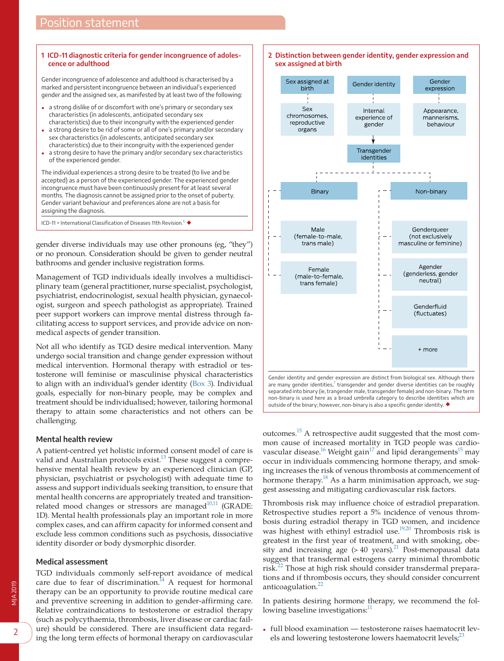### <span id="page-1-0"></span>**1 ICD-11 diagnostic criteria for gender incongruence of adolescence or adulthood**

Gender incongruence of adolescence and adulthood is characterised by a marked and persistent incongruence between an individual's experienced gender and the assigned sex, as manifested by at least two of the following:

- a strong dislike of or discomfort with one's primary or secondary sex characteristics (in adolescents, anticipated secondary sex characteristics) due to their incongruity with the experienced gender
- a strong desire to be rid of some or all of one's primary and/or secondary sex characteristics (in adolescents, anticipated secondary sex characteristics) due to their incongruity with the experienced gender
- a strong desire to have the primary and/or secondary sex characteristics of the experienced gender.

The individual experiences a strong desire to be treated (to live and be accepted) as a person of the experienced gender. The experienced gender incongruence must have been continuously present for at least several months. The diagnosis cannot be assigned prior to the onset of puberty. Gender variant behaviour and preferences alone are not a basis for assigning the diagnosis.

ICD-11 = International Classification of Diseases 11th Revision. $6 \blacklozenge$  $6 \blacklozenge$ 

gender diverse individuals may use other pronouns (eg, "they") or no pronoun. Consideration should be given to gender neutral bathrooms and gender inclusive registration forms.

Management of TGD individuals ideally involves a multidisciplinary team (general practitioner, nurse specialist, psychologist, psychiatrist, endocrinologist, sexual health physician, gynaecologist, surgeon and speech pathologist as appropriate). Trained peer support workers can improve mental distress through facilitating access to support services, and provide advice on nonmedical aspects of gender transition.

Not all who identify as TGD desire medical intervention. Many undergo social transition and change gender expression without medical intervention. Hormonal therapy with estradiol or testosterone will feminise or masculinise physical characteristics to align with an individual's gender identity [\(Box 3](#page-2-0)). Individual goals, especially for non-binary people, may be complex and treatment should be individualised; however, tailoring hormonal therapy to attain some characteristics and not others can be challenging.

### **Mental health review**

A patient-centred yet holistic informed consent model of care is valid and Australian protocols exist.<sup>13</sup> These suggest a comprehensive mental health review by an experienced clinician (GP, physician, psychiatrist or psychologist) with adequate time to assess and support individuals seeking transition, to ensure that mental health concerns are appropriately treated and transitionrelated mood changes or stressors are managed $^{10,11}$  (GRADE: 1D). Mental health professionals play an important role in more complex cases, and can affirm capacity for informed consent and exclude less common conditions such as psychosis, dissociative identity disorder or body dysmorphic disorder.

#### **Medical assessment**

TGD individuals commonly self-report avoidance of medical care due to fear of discrimination. $^{14}$  A request for hormonal therapy can be an opportunity to provide routine medical care and preventive screening in addition to gender-affirming care. Relative contraindications to testosterone or estradiol therapy (such as polycythaemia, thrombosis, liver disease or cardiac failure) should be considered. There are insufficient data regarding the long term effects of hormonal therapy on cardiovascular

<span id="page-1-1"></span>

outcomes.[15](#page-5-11) A retrospective audit suggested that the most common cause of increased mortality in TGD people was cardiovascular disease.<sup>16</sup> Weight gain<sup>17</sup> and lipid derangements<sup>15</sup> may occur in individuals commencing hormone therapy, and smoking increases the risk of venous thrombosis at commencement of hormone therapy.<sup>18</sup> As a harm minimisation approach, we suggest assessing and mitigating cardiovascular risk factors.

outside of the binary; however, non-binary is also a specific gender identity. ◆

Thrombosis risk may influence choice of estradiol preparation. Retrospective studies report a 5% incidence of venous thrombosis during estradiol therapy in TGD women, and incidence was highest with ethinyl estradiol use.<sup>19,20</sup> Thrombosis risk is greatest in the first year of treatment, and with smoking, obesity and increasing age  $(>40 \text{ years})$ .<sup>[21](#page-5-16)</sup> Post-menopausal data suggest that transdermal estrogens carry minimal thrombotic risk.[22](#page-5-17) Those at high risk should consider transdermal preparations and if thrombosis occurs, they should consider concurrent anticoagulation.<sup>[22](#page-5-17)</sup>

In patients desiring hormone therapy, we recommend the following baseline investigations:<sup>11</sup>

• full blood examination — testosterone raises haematocrit levels and lowering testosterone lowers haematocrit levels; $23$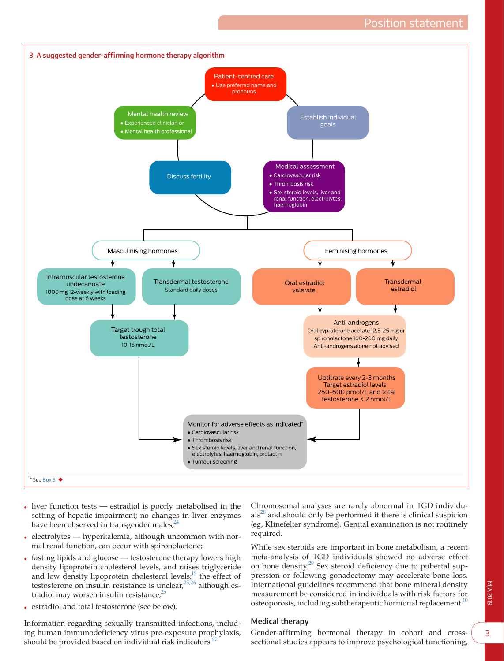<span id="page-2-0"></span>

- liver function tests estradiol is poorly metabolised in the setting of hepatic impairment; no changes in liver enzymes have been observed in transgender males; $2<sup>2</sup>$
- electrolytes hyperkalemia, although uncommon with normal renal function, can occur with spironolactone;
- fasting lipids and glucose testosterone therapy lowers high density lipoprotein cholesterol levels, and raises triglyceride and low density lipoprotein cholesterol levels;<sup>15</sup> the effect of testosterone on insulin resistance is unclear,  $25,26$  although estradiol may worsen insulin resistance;<sup>25</sup>
- estradiol and total testosterone (see below).

Information regarding sexually transmitted infections, including human immunodeficiency virus pre-exposure prophylaxis, should be provided based on individual risk indicators.<sup>2</sup>

Chromosomal analyses are rarely abnormal in TGD individu- $als<sup>28</sup>$  $als<sup>28</sup>$  $als<sup>28</sup>$  and should only be performed if there is clinical suspicion (eg, Klinefelter syndrome). Genital examination is not routinely required.

While sex steroids are important in bone metabolism, a recent meta-analysis of TGD individuals showed no adverse effect on bone density.[29](#page-5-23) Sex steroid deficiency due to pubertal suppression or following gonadectomy may accelerate bone loss. International guidelines recommend that bone mineral density measurement be considered in individuals with risk factors for osteoporosis, including subtherapeutic hormonal replacement.<sup>10</sup>

### **Medical therapy**

Gender-affirming hormonal therapy in cohort and crosssectional studies appears to improve psychological functioning,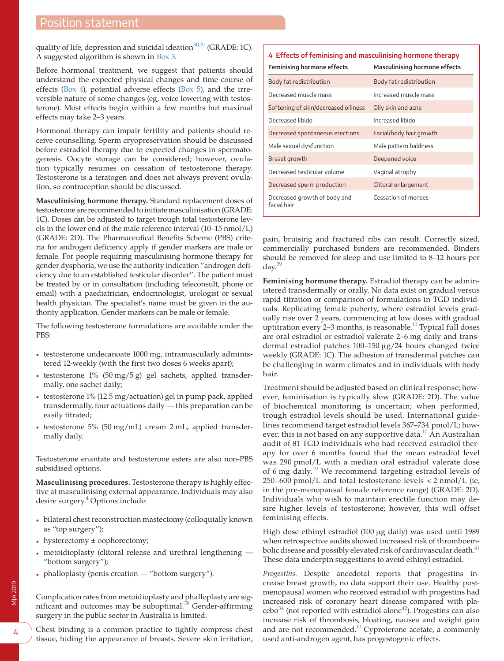quality of life, depression and suicidal ideation $30,31$  (GRADE: 1C). A suggested algorithm is shown in [Box 3.](#page-2-0)

Before hormonal treatment, we suggest that patients should understand the expected physical changes and time course of effects [\(Box 4](#page-3-0)), potential adverse effects ([Box 5\)](#page-4-0), and the irreversible nature of some changes (eg, voice lowering with testosterone). Most effects begin within a few months but maximal effects may take 2–3 years.

Hormonal therapy can impair fertility and patients should receive counselling. Sperm cryopreservation should be discussed before estradiol therapy due to expected changes in spermatogenesis. Oocyte storage can be considered; however, ovulation typically resumes on cessation of testosterone therapy. Testosterone is a teratogen and does not always prevent ovulation, so contraception should be discussed.

**Masculinising hormone therapy.** Standard replacement doses of testosterone are recommended to initiate masculinisation (GRADE: 1C). Doses can be adjusted to target trough total testosterone levels in the lower end of the male reference interval (10–15 nmol/L) (GRADE: 2D). The Pharmaceutical Benefits Scheme (PBS) criteria for androgen deficiency apply if gender markers are male or female. For people requiring masculinising hormone therapy for gender dysphoria, we use the authority indication "androgen deficiency due to an established testicular disorder". The patient must be treated by or in consultation (including teleconsult, phone or email) with a paediatrician, endocrinologist, urologist or sexual health physician. The specialist's name must be given in the authority application. Gender markers can be male or female.

The following testosterone formulations are available under the PBS:

- testosterone undecanoate 1000 mg, intramuscularly administered 12-weekly (with the first two doses 6 weeks apart);
- testosterone 1% (50 mg/5 g) gel sachets, applied transdermally, one sachet daily;
- testosterone 1% (12.5 mg/actuation) gel in pump pack, applied transdermally, four actuations daily — this preparation can be easily titrated;
- testosterone 5% (50 mg/mL) cream 2 mL, applied transdermally daily.

Testosterone enantate and testosterone esters are also non-PBS subsidised options.

**Masculinising procedures.** Testosterone therapy is highly effective at masculinising external appearance. Individuals may also desire surgery.<sup>4</sup> Options include:

- bilateral chest reconstruction mastectomy (colloquially known as "top surgery");
- hysterectomy  $\pm$  oophorectomy;
- metoidioplasty (clitoral release and urethral lengthening "bottom surgery");
- phalloplasty (penis creation "bottom surgery").

Complication rates from metoidioplasty and phalloplasty are significant and outcomes may be suboptimal. $38$  Gender-affirming surgery in the public sector in Australia is limited.

Chest binding is a common practice to tightly compress chest tissue, hiding the appearance of breasts. Severe skin irritation,

# <span id="page-3-0"></span>**4 Effects of feminising and masculinising hormone therapy**

| <b>Feminising hormone effects</b>           | <b>Masculinising hormone effects</b> |
|---------------------------------------------|--------------------------------------|
| Body fat redistribution                     | Body fat redistribution              |
| Decreased muscle mass                       | Increased muscle mass                |
| Softening of skin/decreased oiliness        | Oily skin and acne                   |
| Decreased libido                            | Increased libido                     |
| Decreased spontaneous erections             | Facial/body hair growth              |
| Male sexual dysfunction                     | Male pattern baldness                |
| Breast growth                               | Deepened voice                       |
| Decreased testicular volume                 | Vaginal atrophy                      |
| Decreased sperm production                  | Clitoral enlargement                 |
| Decreased growth of body and<br>facial hair | Cessation of menses                  |

pain, bruising and fractured ribs can result. Correctly sized, commercially purchased binders are recommended. Binders should be removed for sleep and use limited to 8–12 hours per day. $39$ 

**Feminising hormone therapy.** Estradiol therapy can be administered transdermally or orally. No data exist on gradual versus rapid titration or comparison of formulations in TGD individuals. Replicating female puberty, where estradiol levels gradually rise over 2 years, commencing at low doses with gradual uptitration every  $2-3$  months, is reasonable.<sup>10</sup> Typical full doses are oral estradiol or estradiol valerate 2–6 mg daily and transdermal estradiol patches 100–150 μg/24 hours changed twice weekly (GRADE: 1C). The adhesion of transdermal patches can be challenging in warm climates and in individuals with body hair.

Treatment should be adjusted based on clinical response; however, feminisation is typically slow (GRADE: 2D). The value of biochemical monitoring is uncertain; when performed, trough estradiol levels should be used. International guidelines recommend target estradiol levels 367–734 pmol/L; however, this is not based on any supportive data.<sup>10</sup> An Australian audit of 81 TGD individuals who had received estradiol therapy for over 6 months found that the mean estradiol level was 290 pmol/L with a median oral estradiol valerate dose of 6 mg daily[.40](#page-6-0) We recommend targeting estradiol levels of 250–600 pmol/L and total testosterone levels < 2 nmol/L (ie, in the pre-menopausal female reference range) (GRADE: 2D). Individuals who wish to maintain erectile function may desire higher levels of testosterone; however, this will offset feminising effects.

High dose ethinyl estradiol (100 μg daily) was used until 1989 when retrospective audits showed increased risk of thromboem-bolic disease and possibly elevated risk of cardiovascular death.<sup>[41](#page-6-1)</sup> These data underpin suggestions to avoid ethinyl estradiol.

*Progestins.* Despite anecdotal reports that progestins increase breast growth, no data support their use. Healthy postmenopausal women who received estradiol with progestins had increased risk of coronary heart disease compared with pla $cebo<sup>34</sup>$  (not reported with estradiol alone<sup>[42](#page-6-2)</sup>). Progestins can also increase risk of thrombosis, bloating, nausea and weight gain and are not recommended.<sup>10</sup> Cyproterone acetate, a commonly used anti-androgen agent, has progestogenic effects.

4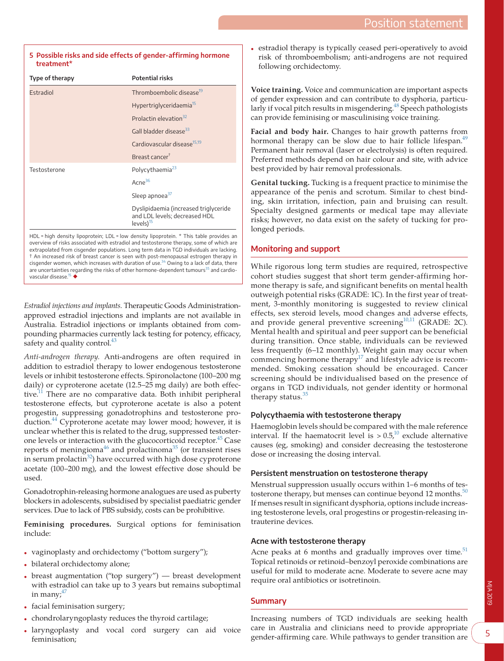### <span id="page-4-0"></span>**5 Possible risks and side effects of gender-affirming hormone treatment\***

| Type of therapy                                                                      | <b>Potential risks</b>                                                                          |
|--------------------------------------------------------------------------------------|-------------------------------------------------------------------------------------------------|
| Estradiol                                                                            | Thromboembolic disease <sup>19</sup>                                                            |
|                                                                                      | Hypertriglyceridaemia <sup>15</sup>                                                             |
|                                                                                      | Prolactin elevation <sup>32</sup>                                                               |
|                                                                                      | Gall bladder disease <sup>33</sup>                                                              |
|                                                                                      | Cardiovascular disease <sup>15,19</sup>                                                         |
|                                                                                      | Breast cancer <sup>†</sup>                                                                      |
| Testosterone                                                                         | Polycythaemia <sup>23</sup>                                                                     |
|                                                                                      | Acne <sup>36</sup>                                                                              |
|                                                                                      | Sleep apnoea <sup>37</sup>                                                                      |
|                                                                                      | Dyslipidaemia (increased triglyceride<br>and LDL levels; decreased HDL<br>levels) <sup>15</sup> |
| اللوالي المستحدث والمستحدث والمستحدث والمتحافظ والمستحدث والمتحل والمستحدث والمستحدث |                                                                                                 |

HDL = high density lipoprotein; LDL = low density lipoprotein. \* This table provides an overview of risks associated with estradiol and testosterone therapy, some of which are extrapolated from cisgender populations. Long term data in TGD individuals are lacking. † An increased risk of breast cancer is seen with post-menopausal estrogen therapy in cisgender women, which increases with duration of use.<sup>[34](#page-5-28)</sup> Owing to a lack of data, there are uncertainties regarding the risks of other hormone-dependent tumours<sup>[35](#page-5-29)</sup> and cardio-vascular disease.<sup>[15](#page-5-11)</sup> ◆

*Estradiol injections and implants.* Therapeutic Goods Administrationapproved estradiol injections and implants are not available in Australia. Estradiol injections or implants obtained from compounding pharmacies currently lack testing for potency, efficacy, safety and quality control.<sup>43</sup>

*Anti-androgen therapy.* Anti-androgens are often required in addition to estradiol therapy to lower endogenous testosterone levels or inhibit testosterone effects. Spironolactone (100–200 mg daily) or cyproterone acetate (12.5–25 mg daily) are both effective. $11$  There are no comparative data. Both inhibit peripheral testosterone effects, but cyproterone acetate is also a potent progestin, suppressing gonadotrophins and testosterone production.<sup>44</sup> Cyproterone acetate may lower mood; however, it is unclear whether this is related to the drug, suppressed testoster-one levels or interaction with the glucocorticoid receptor.<sup>[45](#page-6-5)</sup> Case reports of meningioma<sup>46</sup> and prolactinoma<sup>[35](#page-5-29)</sup> (or transient rises in serum prolactin $32$ ) have occurred with high dose cyproterone acetate (100–200 mg), and the lowest effective dose should be used.

Gonadotrophin-releasing hormone analogues are used as puberty blockers in adolescents, subsidised by specialist paediatric gender services. Due to lack of PBS subsidy, costs can be prohibitive.

**Feminising procedures.** Surgical options for feminisation include:

- vaginoplasty and orchidectomy ("bottom surgery");
- bilateral orchidectomy alone;
- breast augmentation ("top surgery") breast development with estradiol can take up to 3 years but remains suboptimal in many;<sup>[47](#page-6-7)</sup>
- facial feminisation surgery;
- chondrolaryngoplasty reduces the thyroid cartilage;
- laryngoplasty and vocal cord surgery can aid voice feminisation;

estradiol therapy is typically ceased peri-operatively to avoid risk of thromboembolism; anti-androgens are not required following orchidectomy.

**Voice training.** Voice and communication are important aspects of gender expression and can contribute to dysphoria, particularly if vocal pitch results in misgendering.<sup>48</sup> Speech pathologists can provide feminising or masculinising voice training.

**Facial and body hair.** Changes to hair growth patterns from hormonal therapy can be slow due to hair follicle lifespan.<sup>49</sup> Permanent hair removal (laser or electrolysis) is often required. Preferred methods depend on hair colour and site, with advice best provided by hair removal professionals.

**Genital tucking.** Tucking is a frequent practice to minimise the appearance of the penis and scrotum. Similar to chest binding, skin irritation, infection, pain and bruising can result. Specialty designed garments or medical tape may alleviate risks; however, no data exist on the safety of tucking for prolonged periods.

# **Monitoring and support**

While rigorous long term studies are required, retrospective cohort studies suggest that short term gender-affirming hormone therapy is safe, and significant benefits on mental health outweigh potential risks (GRADE: 1C). In the first year of treatment, 3-monthly monitoring is suggested to review clinical effects, sex steroid levels, mood changes and adverse effects, and provide general preventive screening $10,11$  (GRADE: 2C). Mental health and spiritual and peer support can be beneficial during transition. Once stable, individuals can be reviewed less frequently (6–12 monthly). Weight gain may occur when commencing hormone therapy $17$  and lifestyle advice is recommended. Smoking cessation should be encouraged. Cancer screening should be individualised based on the presence of organs in TGD individuals, not gender identity or hormonal therapy status. $35$ 

### **Polycythaemia with testosterone therapy**

Haemoglobin levels should be compared with the male reference interval. If the haematocrit level is  $> 0.5<sup>10</sup>$  exclude alternative causes (eg, smoking) and consider decreasing the testosterone dose or increasing the dosing interval.

### **Persistent menstruation on testosterone therapy**

Menstrual suppression usually occurs within 1–6 months of testosterone therapy, but menses can continue beyond 12 months. $50$ If menses result in significant dysphoria, options include increasing testosterone levels, oral progestins or progestin-releasing intrauterine devices.

### **Acne with testosterone therapy**

Acne peaks at 6 months and gradually improves over time. $51$ Topical retinoids or retinoid–benzoyl peroxide combinations are useful for mild to moderate acne. Moderate to severe acne may require oral antibiotics or isotretinoin.

### **Summary**

Increasing numbers of TGD individuals are seeking health care in Australia and clinicians need to provide appropriate gender-affirming care. While pathways to gender transition are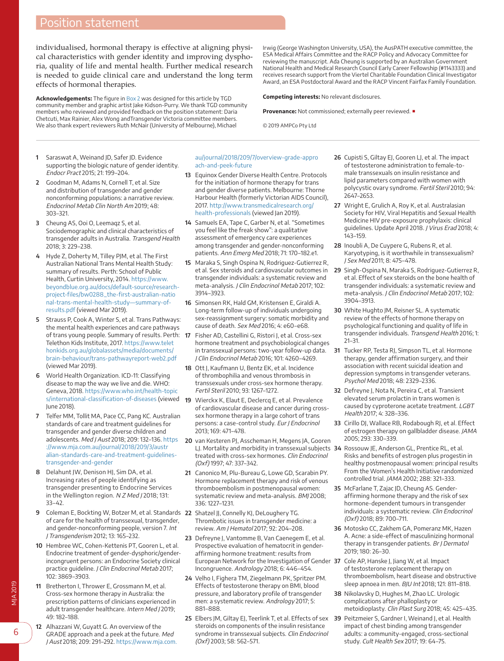# Position statement

individualised, hormonal therapy is effective at aligning physical characteristics with gender identity and improving dysphoria, quality of life and mental health. Further medical research is needed to guide clinical care and understand the long term effects of hormonal therapies.

**Acknowledgements:** The figure in Box 2 was designed for this article by TGD community member and graphic artist Jake Kidson-Purry. We thank TGD community members who reviewed and provided feedback on the position statement: Daria Chetcuti, Max Rainier, Alex Wong andTransgender Victoria committee members. We also thank expert reviewers Ruth McNair (University of Melbourne), Michael

Irwig (George Washington University, USA), the AusPATH executive committee, the ESA Medical Affairs Committee and the RACP Policy and Advocacy Committee for reviewing the manuscript. Ada Cheung is supported by an Australian Government National Health and Medical Research Council Early Career Fellowship (#1143333) and receives research support from the Viertel Charitable Foundation Clinical Investigator Award, an ESA Postdoctoral Award and the RACP Vincent Fairfax Family Foundation.

**Competing interests:** No relevant disclosures.

**Provenance:** Not commissioned; externally peer reviewed. ■

© 2019 AMPCo Pty Ltd

- <span id="page-5-0"></span>**1** Saraswat A, Weinand JD, Safer JD. Evidence supporting the biologic nature of gender identity. Endocr Pract 2015; 21: 199–204.
- <span id="page-5-1"></span>**2** Goodman M, Adams N, Cornell T, et al. Size and distribution of transgender and gender nonconforming populations: a narrative review. Endocrinol Metab Clin North Am 2019; 48: 303–321.
- <span id="page-5-2"></span>**3** Cheung AS, Ooi O, Leemaqz S, et al. Sociodemographic and clinical characteristics of transgender adults in Australia. Transgend Health 2018; 3: 229–238.
- <span id="page-5-25"></span>**4** Hyde Z, Doherty M, Tilley PJM, et al. The First Australian National Trans Mental Health Study: summary of results. Perth: School of Public Health, Curtin University, 2014. [https://www.](https://www.beyondblue.org.au/docs/default-source/research-project-files/bw0288_the-first-australian-national-trans-mental-health-study%e2%80%94summary-of-results.pdf) [beyondblue.org.au/docs/default-source/research](https://www.beyondblue.org.au/docs/default-source/research-project-files/bw0288_the-first-australian-national-trans-mental-health-study%e2%80%94summary-of-results.pdf)[project-files/bw0288\\_the-first-australian-natio](https://www.beyondblue.org.au/docs/default-source/research-project-files/bw0288_the-first-australian-national-trans-mental-health-study%e2%80%94summary-of-results.pdf) [nal-trans-mental-health-study—summary-of](https://www.beyondblue.org.au/docs/default-source/research-project-files/bw0288_the-first-australian-national-trans-mental-health-study%e2%80%94summary-of-results.pdf)[results.pdf](https://www.beyondblue.org.au/docs/default-source/research-project-files/bw0288_the-first-australian-national-trans-mental-health-study%e2%80%94summary-of-results.pdf) (viewed Mar 2019).
- **5** Strauss P, Cook A, Winter S, et al. Trans Pathways: the mental health experiences and care pathways of trans young people. Summary of results. Perth: Telethon Kids Institute, 2017. [https://www.telet](https://www.telethonkids.org.au/globalassets/media/documents/brain%e2%80%93behaviour/trans-pathwayreport-web2.pdf) [honkids.org.au/globalassets/media/documents/](https://www.telethonkids.org.au/globalassets/media/documents/brain%e2%80%93behaviour/trans-pathwayreport-web2.pdf) [brain-behaviour/trans-pathwayreport-web2.pdf](https://www.telethonkids.org.au/globalassets/media/documents/brain%e2%80%93behaviour/trans-pathwayreport-web2.pdf) (viewed Mar 2019).
- <span id="page-5-3"></span>**6** World Health Organization. ICD-11: Classifying disease to map the way we live and die. WHO: Geneva, 2018. [https://www.who.int/health-topic](https://www.who.int/health-topics/international-classification-of-diseases) June 2018).
- <span id="page-5-4"></span>**7** Telfer MM, Tollit MA, Pace CC, Pang KC. Australian standards of care and treatment guidelines for transgender and gender diverse children and adolescents. Med J Aust 2018; 209: 132–136. [https](https://www.mja.com.au/journal/2018/209/3/australian-standards-care-and-treatment-guidelines-transgender-and-gender) [://www.mja.com.au/journal/2018/209/3/austr](https://www.mja.com.au/journal/2018/209/3/australian-standards-care-and-treatment-guidelines-transgender-and-gender) [alian-standards-care-and-treatment-guidelines](https://www.mja.com.au/journal/2018/209/3/australian-standards-care-and-treatment-guidelines-transgender-and-gender)[transgender-and-gender](https://www.mja.com.au/journal/2018/209/3/australian-standards-care-and-treatment-guidelines-transgender-and-gender)
- **8** Delahunt JW, Denison HJ, Sim DA, et al. Increasing rates of people identifying as transgender presenting to Endocrine Services in the Wellington region. N Z Med J 2018; 131: 33–42.
- <span id="page-5-5"></span>**9** Coleman E, Bockting W, Botzer M, et al. Standards **22** Shatzel JJ, Connelly KJ, DeLoughery TG. of care for the health of transsexual, transgender, and gender-nonconforming people, version 7. Int J Transgenderism 2012; 13: 165–232.
- <span id="page-5-18"></span><span id="page-5-9"></span>**10** Hembree WC, Cohen-Kettenis PT, Gooren L, et al. Endocrine treatment of gender-dysphoric/genderincongruent persons: an Endocrine Society clinical practice quideline. J Clin Endocrinol Metab 2017; 102: 3869–3903.
- <span id="page-5-19"></span><span id="page-5-6"></span>**11** Bretherton I, Thrower E, Grossmann M, et al. Cross-sex hormone therapy in Australia: the prescription patterns of clinicians experienced in adult transgender healthcare. Intern Med J 2019; 49: 182–188.
- <span id="page-5-20"></span><span id="page-5-7"></span>**12** Alhazzani W, Guyatt G. An overview of the GRADE approach and a peek at the future. Med J Aust 2018; 209: 291–292. [https://www.mja.com.](https://www.mja.com.au/journal/2018/209/7/overview-grade-approach-and-peek-future)

#### [au/journal/2018/209/7/overview-grade-appro](https://www.mja.com.au/journal/2018/209/7/overview-grade-approach-and-peek-future) [ach-and-peek-future](https://www.mja.com.au/journal/2018/209/7/overview-grade-approach-and-peek-future)

- <span id="page-5-8"></span>**13** Equinox Gender Diverse Health Centre. Protocols for the initiation of hormone therapy for trans and gender diverse patients. Melbourne: Thorne Harbour Health (formerly Victorian AIDS Council), 2017. [http://www.transmedicalresearch.org/](http://www.transmedicalresearch.org/health-professionals) [health-professionals](http://www.transmedicalresearch.org/health-professionals) (viewed Jan 2019).
- <span id="page-5-10"></span>**14** Samuels EA, Tape C, Garber N, et al. "Sometimes you feel like the freak show": a qualitative assessment of emergency care experiences among transgender and gender-nonconforming patients. Ann Emerg Med 2018; 71: 170–182.e1.
- <span id="page-5-11"></span>**15** Maraka S, Singh Ospina N, Rodriguez-Gutierrez R, et al. Sex steroids and cardiovascular outcomes in transgender individuals: a systematic review and meta-analysis. J Clin Endocrinol Metab 2017; 102: 3914–3923.
- <span id="page-5-12"></span>**16** Simonsen RK, Hald GM, Kristensen E, Giraldi A. Long-term follow-up of individuals undergoing sex-reassignment surgery: somatic morbidity and cause of death. Sex Med 2016; 4: e60–e68.
- <span id="page-5-13"></span>**17** Fisher AD, Castellini G, Ristori J, et al. Cross-sex hormone treatment and psychobiological changes in transsexual persons: two-year follow-up data. J Clin Endocrinol Metab 2016; 101: 4260–4269.
- <span id="page-5-17"></span><span id="page-5-16"></span><span id="page-5-15"></span><span id="page-5-14"></span>**18** Ott J, Kaufmann U, Bentz EK, et al. Incidence of thrombophilia and venous thrombosis in transsexuals under cross-sex hormone therapy. Fertil Steril 2010; 93: 1267–1272.
- [s/international-classification-of-diseases](https://www.who.int/health-topics/international-classification-of-diseases) (viewed **19** Wierckx K, Elaut E, Declercq E, et al. Prevalence of cardiovascular disease and cancer during crosssex hormone therapy in a large cohort of trans persons: a case-control study. Eur J Endocrinol 2013; 169: 471–478.
	- **20** van Kesteren PJ, Asscheman H, Megens JA, Gooren LJ. Mortality and morbidity in transsexual subjects **34** Rossouw JE, Anderson GL, Prentice RL, et al. treated with cross-sex hormones. Clin Endocrinol (Oxf) 1997; 47: 337–342.
	- **21** Canonico M, Plu-Bureau G, Lowe GD, Scarabin PY. Hormone replacement therapy and risk of venous thromboembolism in postmenopausal women: systematic review and meta-analysis. BMJ 2008; 336: 1227–1231.
	- Thrombotic issues in transgender medicine: a review. Am J Hematol 2017; 92: 204–208.
	- **23** Defreyne J, Vantomme B, Van Caenegem E, et al. Prospective evaluation of hematocrit in genderaffirming hormone treatment: results from European Network for the Investigation of Gender **37** Cole AP, Hanske J, Jiang W, et al. Impact Incongruence. Andrology 2018; 6: 446–454.
	- **24** Velho I, Fighera TM, Ziegelmann PK, Spritzer PM. Effects of testosterone therapy on BMI, blood pressure, and laboratory profile of transgender men: a systematic review. Andrology 2017; 5: 881–888.
	- **25** Elbers JM, Giltay EJ, Teerlink T, et al. Effects of sex **39** Peitzmeier S, Gardner I, Weinand J, et al. Health steroids on components of the insulin resistance syndrome in transsexual subjects. Clin Endocrinol (Oxf) 2003; 58: 562–571.
- **26** Cupisti S, Giltay EJ, Gooren LJ, et al. The impact of testosterone administration to female-tomale transsexuals on insulin resistance and lipid parameters compared with women with polycystic ovary syndrome. Fertil Steril 2010; 94: 2647–2653.
- <span id="page-5-21"></span>**27** Wright E, Grulich A, Roy K, et al. Australasian Society for HIV, Viral Hepatitis and Sexual Health Medicine HIV pre-exposure prophylaxis: clinical guidelines. Update April 2018. J Virus Erad 2018; 4: 143–159.
- <span id="page-5-22"></span>**28** Inoubli A, De Cuypere G, Rubens R, et al. Karyotyping, is it worthwhile in transsexualism? J Sex Med 2011; 8: 475–478.
- <span id="page-5-23"></span>**29** Singh-Ospina N, Maraka S, Rodriguez-Gutierrez R, et al. Effect of sex steroids on the bone health of transgender individuals: a systematic review and meta-analysis. J Clin Endocrinol Metab 2017; 102: 3904–3913.
- <span id="page-5-24"></span>**30** White Hughto JM, Reisner SL. A systematic review of the effects of hormone therapy on psychological functioning and quality of life in transgender individuals. Transgend Health 2016; 1: 21–31.
- **31** Tucker RP, Testa RJ, Simpson TL, et al. Hormone therapy, gender affirmation surgery, and their association with recent suicidal ideation and depression symptoms in transgender veterans. Psychol Med 2018; 48: 2329–2336.
- <span id="page-5-30"></span>**32** Defreyne J, Nota N, Pereira C, et al. Transient elevated serum prolactin in trans women is caused by cyproterone acetate treatment. LGBT Health 2017; 4: 328–336.
- <span id="page-5-31"></span>**33** Cirillo DJ, Wallace RB, Rodabough RJ, et al. Effect of estrogen therapy on gallbladder disease. JAMA 2005; 293: 330–339.
- <span id="page-5-28"></span>Risks and benefits of estrogen plus progestin in healthy postmenopausal women: principal results From the Women's Health Initiative randomized controlled trial. JAMA 2002; 288: 321–333.
- <span id="page-5-29"></span>**35** McFarlane T, Zajac JD, Cheung AS. Genderaffirming hormone therapy and the risk of sex hormone-dependent tumours in transgender individuals: a systematic review. Clin Endocrinol (Oxf) 2018; 89: 700–711.
- <span id="page-5-32"></span>**36** Motosko CC, Zakhem GA, Pomeranz MK, Hazen A. Acne: a side-effect of masculinizing hormonal therapy in transgender patients. Br J Dermatol 2019; 180: 26–30.
- <span id="page-5-33"></span>of testosterone replacement therapy on thromboembolism, heart disease and obstructive sleep apnoea in men. BJU Int 2018; 121: 811–818.
- <span id="page-5-26"></span>**38** Nikolavsky D, Hughes M, Zhao LC. Urologic complications after phalloplasty or metoidioplasty. Clin Plast Surg 2018; 45: 425–435.
- <span id="page-5-27"></span>impact of chest binding among transgender adults: a community-engaged, cross-sectional study. Cult Health Sex 2017; 19: 64–75.

MJA 2019